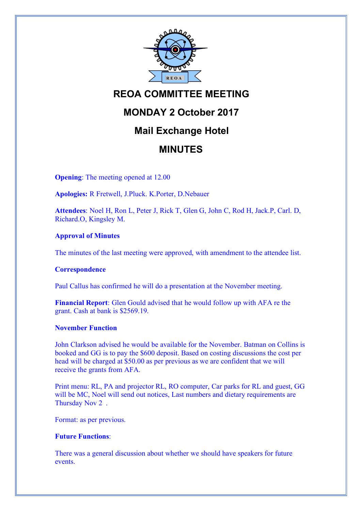

# **REOA COMMITTEE MEETING**

# **MONDAY 2 October 2017**

# **Mail Exchange Hotel**

# **MINUTES**

**Opening**: The meeting opened at 12.00

**Apologies:** R Fretwell, J.Pluck. K.Porter, D.Nebauer

**Attendees**: Noel H, Ron L, Peter J, Rick T, Glen G, John C, Rod H, Jack.P, Carl. D, Richard.O, Kingsley M.

## **Approval of Minutes**

The minutes of the last meeting were approved, with amendment to the attendee list.

## **Correspondence**

Paul Callus has confirmed he will do a presentation at the November meeting.

**Financial Report**: Glen Gould advised that he would follow up with AFA re the grant. Cash at bank is \$2569.19.

## **November Function**

John Clarkson advised he would be available for the November. Batman on Collins is booked and GG is to pay the \$600 deposit. Based on costing discussions the cost per head will be charged at \$50.00 as per previous as we are confident that we will receive the grants from AFA.

Print menu: RL, PA and projector RL, RO computer, Car parks for RL and guest, GG will be MC, Noel will send out notices, Last numbers and dietary requirements are Thursday Nov 2 .

Format: as per previous.

## **Future Functions**:

There was a general discussion about whether we should have speakers for future events.